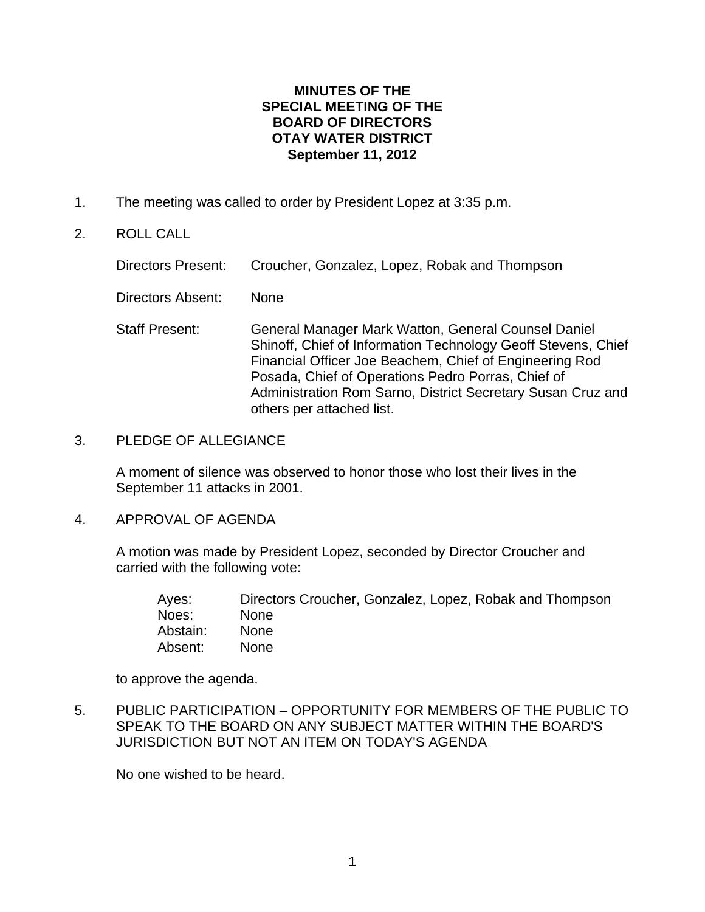#### **MINUTES OF THE SPECIAL MEETING OF THE BOARD OF DIRECTORS OTAY WATER DISTRICT September 11, 2012**

- 1. The meeting was called to order by President Lopez at 3:35 p.m.
- 2. ROLL CALL

Directors Present: Croucher, Gonzalez, Lopez, Robak and Thompson

Directors Absent: None

- Staff Present: General Manager Mark Watton, General Counsel Daniel Shinoff, Chief of Information Technology Geoff Stevens, Chief Financial Officer Joe Beachem, Chief of Engineering Rod Posada, Chief of Operations Pedro Porras, Chief of Administration Rom Sarno, District Secretary Susan Cruz and others per attached list.
- 3. PLEDGE OF ALLEGIANCE

A moment of silence was observed to honor those who lost their lives in the September 11 attacks in 2001.

4. APPROVAL OF AGENDA

A motion was made by President Lopez, seconded by Director Croucher and carried with the following vote:

| Ayes:    | Directors Croucher, Gonzalez, Lopez, Robak and Thompson |
|----------|---------------------------------------------------------|
| Noes:    | <b>None</b>                                             |
| Abstain: | <b>None</b>                                             |
| Absent:  | <b>None</b>                                             |

to approve the agenda.

5. PUBLIC PARTICIPATION – OPPORTUNITY FOR MEMBERS OF THE PUBLIC TO SPEAK TO THE BOARD ON ANY SUBJECT MATTER WITHIN THE BOARD'S JURISDICTION BUT NOT AN ITEM ON TODAY'S AGENDA

No one wished to be heard.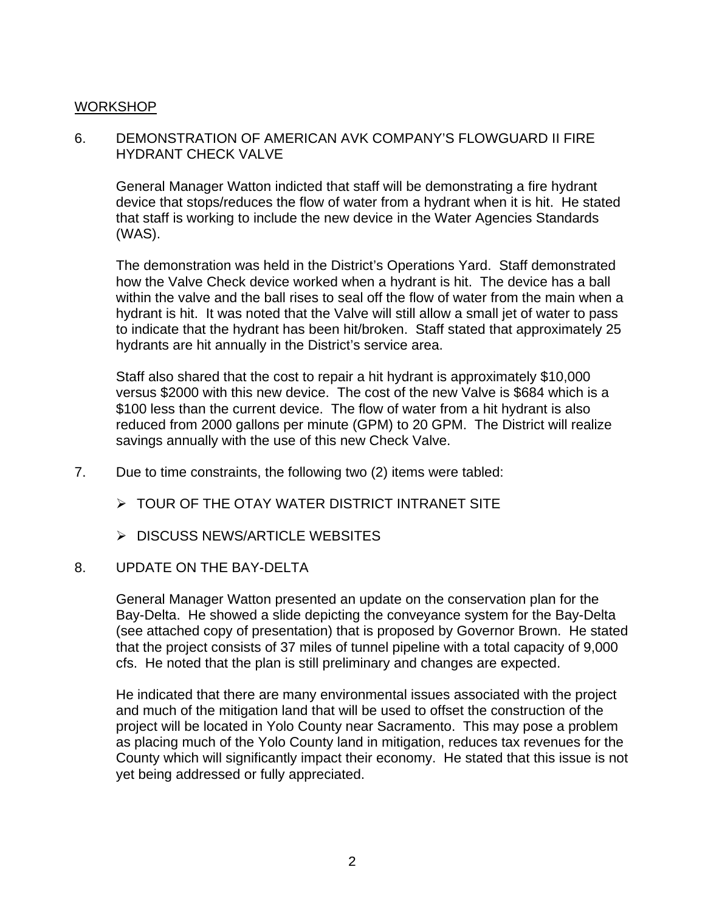## WORKSHOP

### 6. DEMONSTRATION OF AMERICAN AVK COMPANY'S FLOWGUARD II FIRE HYDRANT CHECK VALVE

General Manager Watton indicted that staff will be demonstrating a fire hydrant device that stops/reduces the flow of water from a hydrant when it is hit. He stated that staff is working to include the new device in the Water Agencies Standards (WAS).

The demonstration was held in the District's Operations Yard. Staff demonstrated how the Valve Check device worked when a hydrant is hit. The device has a ball within the valve and the ball rises to seal off the flow of water from the main when a hydrant is hit. It was noted that the Valve will still allow a small jet of water to pass to indicate that the hydrant has been hit/broken. Staff stated that approximately 25 hydrants are hit annually in the District's service area.

Staff also shared that the cost to repair a hit hydrant is approximately \$10,000 versus \$2000 with this new device. The cost of the new Valve is \$684 which is a \$100 less than the current device. The flow of water from a hit hydrant is also reduced from 2000 gallons per minute (GPM) to 20 GPM. The District will realize savings annually with the use of this new Check Valve.

- 7. Due to time constraints, the following two (2) items were tabled:
	- TOUR OF THE OTAY WATER DISTRICT INTRANET SITE
	- $\triangleright$  DISCUSS NEWS/ARTICLE WEBSITES

### 8. UPDATE ON THE BAY-DELTA

General Manager Watton presented an update on the conservation plan for the Bay-Delta. He showed a slide depicting the conveyance system for the Bay-Delta (see attached copy of presentation) that is proposed by Governor Brown. He stated that the project consists of 37 miles of tunnel pipeline with a total capacity of 9,000 cfs. He noted that the plan is still preliminary and changes are expected.

He indicated that there are many environmental issues associated with the project and much of the mitigation land that will be used to offset the construction of the project will be located in Yolo County near Sacramento. This may pose a problem as placing much of the Yolo County land in mitigation, reduces tax revenues for the County which will significantly impact their economy. He stated that this issue is not yet being addressed or fully appreciated.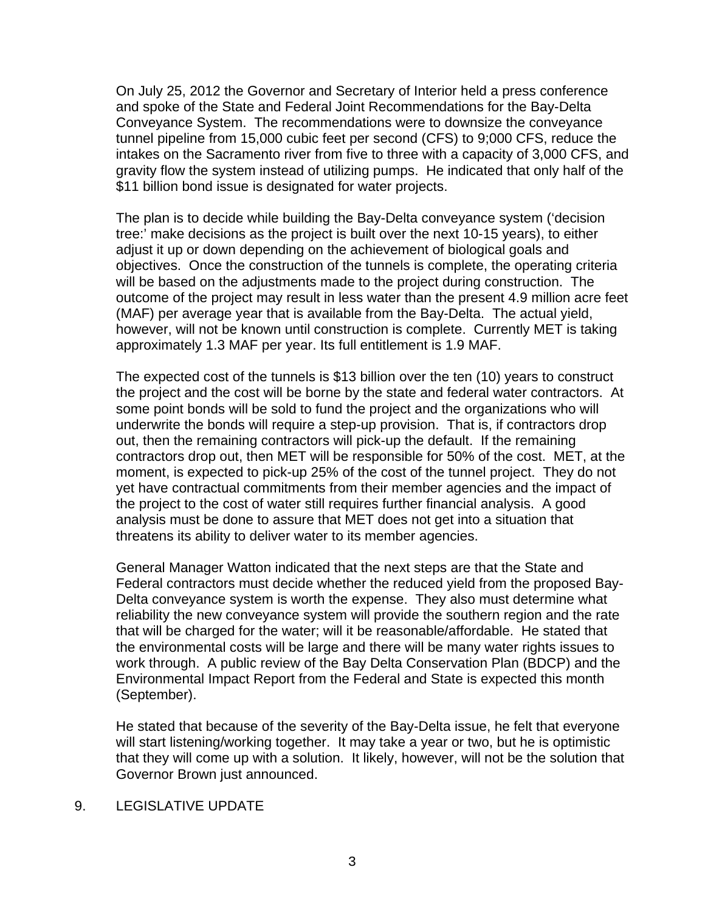On July 25, 2012 the Governor and Secretary of Interior held a press conference and spoke of the State and Federal Joint Recommendations for the Bay-Delta Conveyance System. The recommendations were to downsize the conveyance tunnel pipeline from 15,000 cubic feet per second (CFS) to 9;000 CFS, reduce the intakes on the Sacramento river from five to three with a capacity of 3,000 CFS, and gravity flow the system instead of utilizing pumps. He indicated that only half of the \$11 billion bond issue is designated for water projects.

The plan is to decide while building the Bay-Delta conveyance system ('decision tree:' make decisions as the project is built over the next 10-15 years), to either adjust it up or down depending on the achievement of biological goals and objectives. Once the construction of the tunnels is complete, the operating criteria will be based on the adjustments made to the project during construction. The outcome of the project may result in less water than the present 4.9 million acre feet (MAF) per average year that is available from the Bay-Delta. The actual yield, however, will not be known until construction is complete. Currently MET is taking approximately 1.3 MAF per year. Its full entitlement is 1.9 MAF.

The expected cost of the tunnels is \$13 billion over the ten (10) years to construct the project and the cost will be borne by the state and federal water contractors. At some point bonds will be sold to fund the project and the organizations who will underwrite the bonds will require a step-up provision. That is, if contractors drop out, then the remaining contractors will pick-up the default. If the remaining contractors drop out, then MET will be responsible for 50% of the cost. MET, at the moment, is expected to pick-up 25% of the cost of the tunnel project. They do not yet have contractual commitments from their member agencies and the impact of the project to the cost of water still requires further financial analysis. A good analysis must be done to assure that MET does not get into a situation that threatens its ability to deliver water to its member agencies.

General Manager Watton indicated that the next steps are that the State and Federal contractors must decide whether the reduced yield from the proposed Bay-Delta conveyance system is worth the expense. They also must determine what reliability the new conveyance system will provide the southern region and the rate that will be charged for the water; will it be reasonable/affordable. He stated that the environmental costs will be large and there will be many water rights issues to work through. A public review of the Bay Delta Conservation Plan (BDCP) and the Environmental Impact Report from the Federal and State is expected this month (September).

He stated that because of the severity of the Bay-Delta issue, he felt that everyone will start listening/working together. It may take a year or two, but he is optimistic that they will come up with a solution. It likely, however, will not be the solution that Governor Brown just announced.

### 9. LEGISLATIVE UPDATE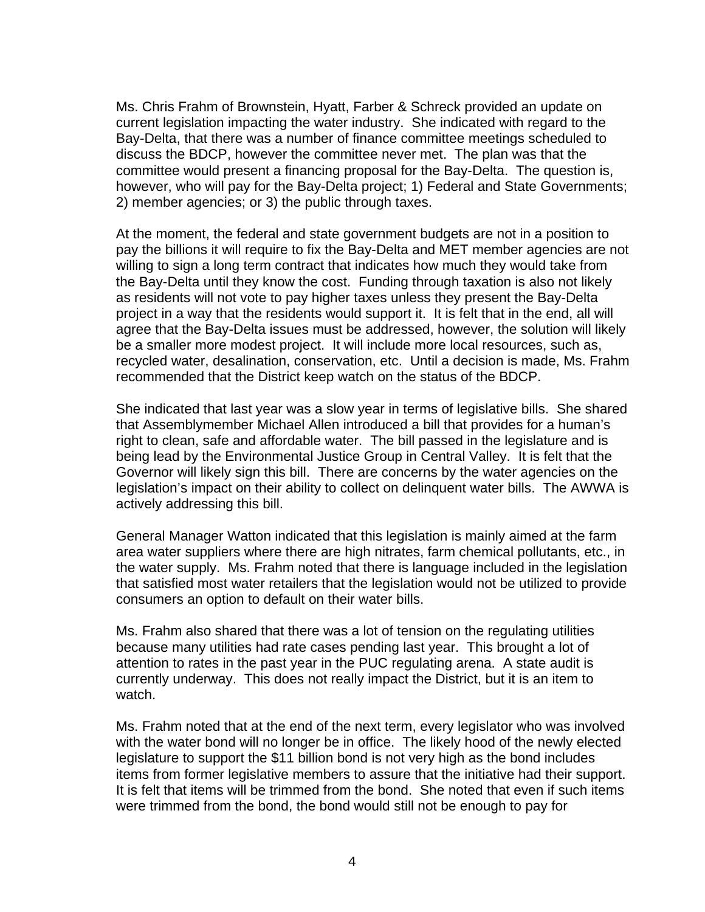Ms. Chris Frahm of Brownstein, Hyatt, Farber & Schreck provided an update on current legislation impacting the water industry. She indicated with regard to the Bay-Delta, that there was a number of finance committee meetings scheduled to discuss the BDCP, however the committee never met. The plan was that the committee would present a financing proposal for the Bay-Delta. The question is, however, who will pay for the Bay-Delta project; 1) Federal and State Governments; 2) member agencies; or 3) the public through taxes.

At the moment, the federal and state government budgets are not in a position to pay the billions it will require to fix the Bay-Delta and MET member agencies are not willing to sign a long term contract that indicates how much they would take from the Bay-Delta until they know the cost. Funding through taxation is also not likely as residents will not vote to pay higher taxes unless they present the Bay-Delta project in a way that the residents would support it. It is felt that in the end, all will agree that the Bay-Delta issues must be addressed, however, the solution will likely be a smaller more modest project. It will include more local resources, such as, recycled water, desalination, conservation, etc. Until a decision is made, Ms. Frahm recommended that the District keep watch on the status of the BDCP.

She indicated that last year was a slow year in terms of legislative bills. She shared that Assemblymember Michael Allen introduced a bill that provides for a human's right to clean, safe and affordable water. The bill passed in the legislature and is being lead by the Environmental Justice Group in Central Valley. It is felt that the Governor will likely sign this bill. There are concerns by the water agencies on the legislation's impact on their ability to collect on delinquent water bills. The AWWA is actively addressing this bill.

General Manager Watton indicated that this legislation is mainly aimed at the farm area water suppliers where there are high nitrates, farm chemical pollutants, etc., in the water supply. Ms. Frahm noted that there is language included in the legislation that satisfied most water retailers that the legislation would not be utilized to provide consumers an option to default on their water bills.

Ms. Frahm also shared that there was a lot of tension on the regulating utilities because many utilities had rate cases pending last year. This brought a lot of attention to rates in the past year in the PUC regulating arena. A state audit is currently underway. This does not really impact the District, but it is an item to watch.

Ms. Frahm noted that at the end of the next term, every legislator who was involved with the water bond will no longer be in office. The likely hood of the newly elected legislature to support the \$11 billion bond is not very high as the bond includes items from former legislative members to assure that the initiative had their support. It is felt that items will be trimmed from the bond. She noted that even if such items were trimmed from the bond, the bond would still not be enough to pay for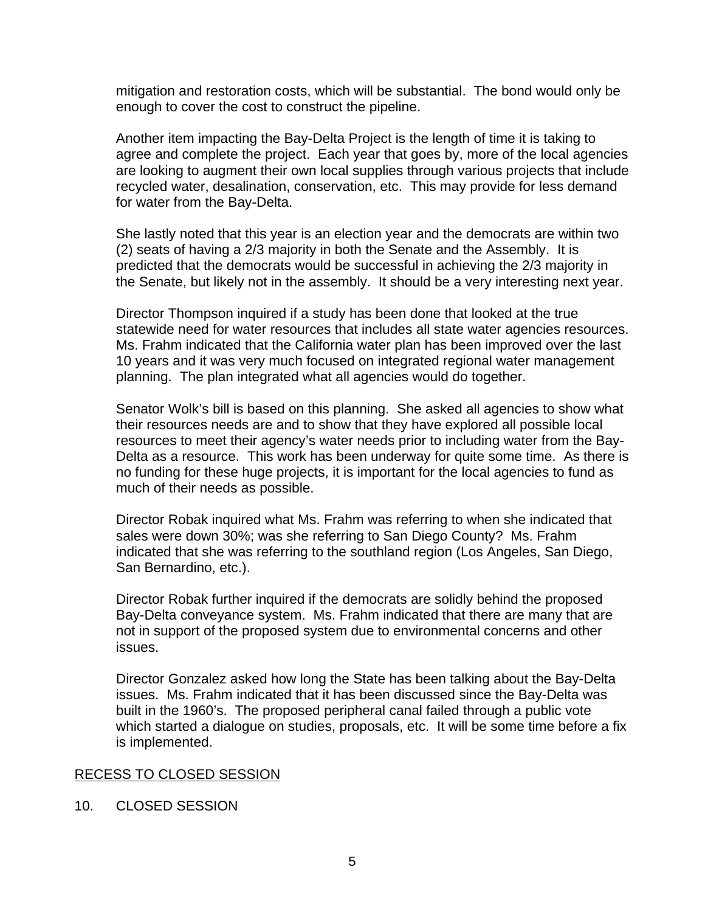mitigation and restoration costs, which will be substantial. The bond would only be enough to cover the cost to construct the pipeline.

Another item impacting the Bay-Delta Project is the length of time it is taking to agree and complete the project. Each year that goes by, more of the local agencies are looking to augment their own local supplies through various projects that include recycled water, desalination, conservation, etc. This may provide for less demand for water from the Bay-Delta.

She lastly noted that this year is an election year and the democrats are within two (2) seats of having a 2/3 majority in both the Senate and the Assembly. It is predicted that the democrats would be successful in achieving the 2/3 majority in the Senate, but likely not in the assembly. It should be a very interesting next year.

Director Thompson inquired if a study has been done that looked at the true statewide need for water resources that includes all state water agencies resources. Ms. Frahm indicated that the California water plan has been improved over the last 10 years and it was very much focused on integrated regional water management planning. The plan integrated what all agencies would do together.

Senator Wolk's bill is based on this planning. She asked all agencies to show what their resources needs are and to show that they have explored all possible local resources to meet their agency's water needs prior to including water from the Bay-Delta as a resource. This work has been underway for quite some time. As there is no funding for these huge projects, it is important for the local agencies to fund as much of their needs as possible.

Director Robak inquired what Ms. Frahm was referring to when she indicated that sales were down 30%; was she referring to San Diego County? Ms. Frahm indicated that she was referring to the southland region (Los Angeles, San Diego, San Bernardino, etc.).

Director Robak further inquired if the democrats are solidly behind the proposed Bay-Delta conveyance system. Ms. Frahm indicated that there are many that are not in support of the proposed system due to environmental concerns and other issues.

Director Gonzalez asked how long the State has been talking about the Bay-Delta issues. Ms. Frahm indicated that it has been discussed since the Bay-Delta was built in the 1960's. The proposed peripheral canal failed through a public vote which started a dialogue on studies, proposals, etc. It will be some time before a fix is implemented.

### RECESS TO CLOSED SESSION

10. CLOSED SESSION